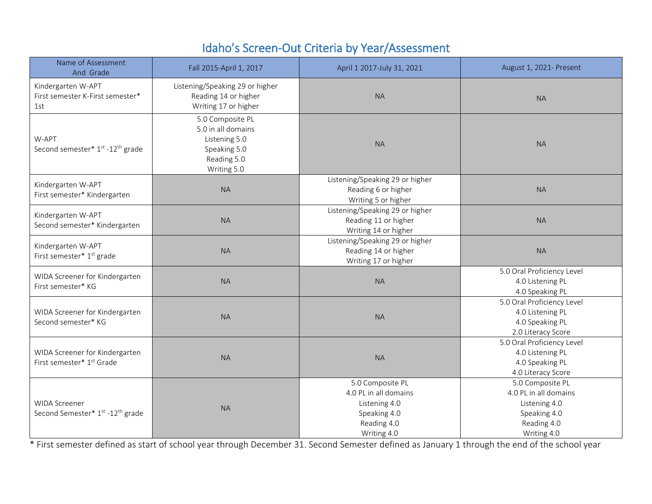## Idaho's Screen-Out Criteria by Year/Assessment

| Name of Assessment<br>And Grade                                      | Fall 2015-April 1, 2017                                                                               | April 1 2017-July 31, 2021                                                                               | August 1, 2021- Present                                                                                  |  |
|----------------------------------------------------------------------|-------------------------------------------------------------------------------------------------------|----------------------------------------------------------------------------------------------------------|----------------------------------------------------------------------------------------------------------|--|
| Kindergarten W-APT<br>First semester K-First semester*<br>1st        | Listening/Speaking 29 or higher<br>Reading 14 or higher<br>Writing 17 or higher                       | <b>NA</b>                                                                                                | <b>NA</b>                                                                                                |  |
| W-APT<br>Second semester* 1st -12th grade                            | 5.0 Composite PL<br>5.0 in all domains<br>Listening 5.0<br>Speaking 5.0<br>Reading 5.0<br>Writing 5.0 | <b>NA</b>                                                                                                | <b>NA</b>                                                                                                |  |
| Kindergarten W-APT<br>First semester* Kindergarten                   | <b>NA</b>                                                                                             | Listening/Speaking 29 or higher<br>Reading 6 or higher<br>Writing 5 or higher                            | <b>NA</b>                                                                                                |  |
| Kindergarten W-APT<br>Second semester* Kindergarten                  | <b>NA</b>                                                                                             | Listening/Speaking 29 or higher<br>Reading 11 or higher<br>Writing 14 or higher                          | <b>NA</b>                                                                                                |  |
| Kindergarten W-APT<br>First semester* 1 <sup>st</sup> grade          | <b>NA</b>                                                                                             | Listening/Speaking 29 or higher<br>Reading 14 or higher<br>Writing 17 or higher                          | <b>NA</b>                                                                                                |  |
| WIDA Screener for Kindergarten<br>First semester* KG                 | <b>NA</b>                                                                                             | <b>NA</b>                                                                                                | 5.0 Oral Proficiency Level<br>4.0 Listening PL<br>4.0 Speaking PL                                        |  |
| WIDA Screener for Kindergarten<br>Second semester* KG                | <b>NA</b>                                                                                             | <b>NA</b>                                                                                                | 5.0 Oral Proficiency Level<br>4.0 Listening PL<br>4.0 Speaking PL<br>2.0 Literacy Score                  |  |
| WIDA Screener for Kindergarten<br>First semester* 1st Grade          | <b>NA</b>                                                                                             | <b>NA</b>                                                                                                | 5.0 Oral Proficiency Level<br>4.0 Listening PL<br>4.0 Speaking PL<br>4.0 Literacy Score                  |  |
| <b>WIDA Screener</b><br>Second Semester* 1st -12 <sup>th</sup> grade | <b>NA</b>                                                                                             | 5.0 Composite PL<br>4.0 PL in all domains<br>Listening 4.0<br>Speaking 4.0<br>Reading 4.0<br>Writing 4.0 | 5.0 Composite PL<br>4.0 PL in all domains<br>Listening 4.0<br>Speaking 4.0<br>Reading 4.0<br>Writing 4.0 |  |

\* First semester defined as start of school year through December 31. Second Semester defined as January 1 through the end of the school year